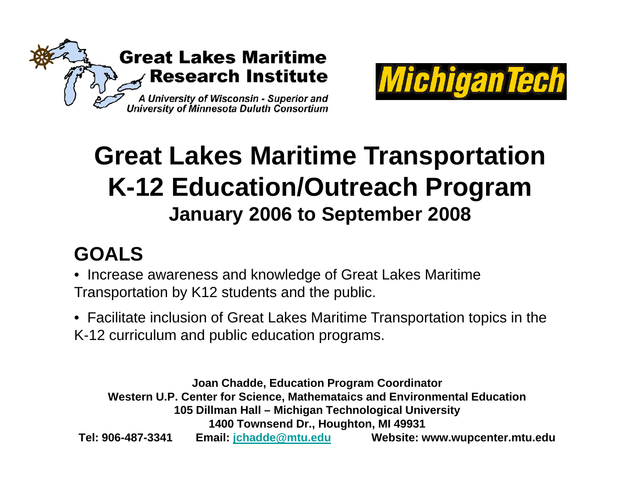



# **Great Lakes Maritime Transportation K-12 Education/Outreach Program January 2006 to September 2008**

# **GOALS**

- Increase awareness and knowled ge of Great Lakes Maritime Transportation by K12 students and the public.
- Facilitate inclusion of Great Lakes Maritime Transportation topics in the K-12 curriculum and public education programs.

**Joan Chadde, Education Program Coordinator Western U.P. Center for Science, Mathemataics and Environmental Education 105 Dillman Hall – Michigan Technological University 1400 Townsend Dr., Houghton, MI 49931 Tel: 906-487-3341 Email: jchadde@mtu.edu Website: www.wupcenter.mtu.edu**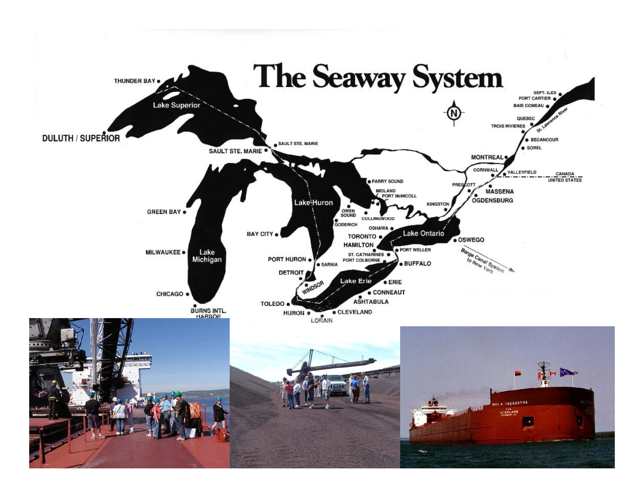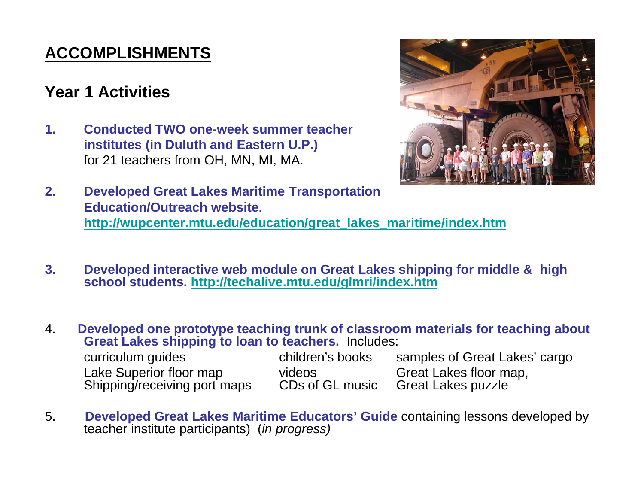# **ACCOMPLISHMENTS**

### **Year 1 Activities**

**1. Conducted TWO one-week summer teacher institutes (in Duluth and Eastern U.P.)**  for 21 teachers from OH, MN, MI, MA.



- **2. Developed Great Lakes Maritime Transportation Education/Outreach website. http://wupcenter.mtu.edu/education/great\_lakes\_maritime/index.htm**
- **3. Developed interactive web module on Great Lakes shipping for middle & high school students students. http://techalive mtu edu/glmri/index htm http://techalive.mtu.edu/glmri/index.htm**

4. **Developed one prototype teaching trunk of classroom materials for teaching about Great Lakes shipping to loan to teachers teachers.** Includes:

| curriculum guides            | children's books | samples of Great Lakes' cargo |
|------------------------------|------------------|-------------------------------|
| Lake Superior floor map      | videos           | Great Lakes floor map,        |
| Shipping/receiving port maps | CDs of GL music  | <b>Great Lakes puzzle</b>     |

5. **Developed Great Lakes Maritime Educators' Guide** containing lessons developed by teacher institute participants) (*in progress)*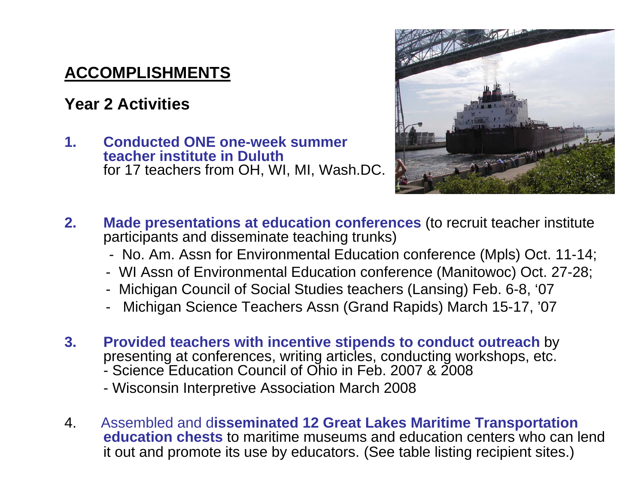## **ACCOMPLISHMENTS**

### **Year 2 Activities**

**1. Conducted ONE one-week summer teacher institute in Duluth Duluth** for 17 teachers from OH, WI, MI, Wash.DC.



- **2.Made presentations at education conferences (to recruit teacher institute** participants and disseminate teaching trunks)
	- No. Am. Assn for Environmental Education conference (Mpls) Oct. 11-14;
	- WI Assn of Environmental Education conference (Manitowoc) Oct. 27-28;
	- Michigan Council of Social Studies teachers (Lansing) Feb. 6-8, '07
	- Michigan Science Teachers Assn (Grand Rapids) March 15-17, '07
- **3. Provided teachers with incentive stipends to conduct outreach** by presenting at conferences, writing articles, conducting workshops, etc. - Science Education Council of Ohio in Feb. 2007 & 2008
	- Wisconsin Interpretive Association March 2008
- 4. Assembled and d**isseminated 12 Great Lakes Maritime Transportation education chests** to maritime museums and education centers who can lend it out and promote its use by educators. (See table listing recipient sites.)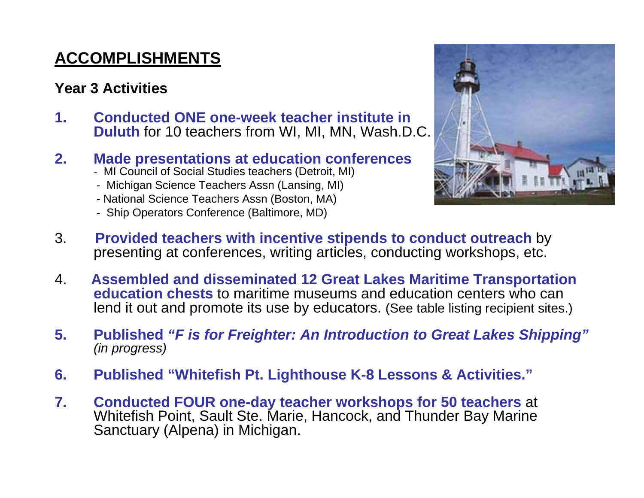# **ACCOMPLISHMENTS**

#### **Year 3 Activities**

**1. Conducted ONE one-week teacher institute in Duluth** for 10 teachers from WI, MI, MN, Wash.D.C.

#### **2.M d t ti t d ti f Made presentations at education conferences**

- MI Council of Social Studies teachers (Detroit, MI)
- Michigan Science Teachers Assn (Lansing, MI)
- National Science Teachers Assn (Boston, MA)
- Ship Operators Conference (Baltimore, MD)



- 3. **Provided teachers with incentive stipends to conduct outreach** by presenting at conferences, writing articles, conducting workshops, etc.
- 4. **Assembled and disseminated 12 Great Lakes Maritime Transportation education chests** to maritime museums and education centers who can lend it out and promote its use by educators. (See table listing recipient sites.)
- **5.** Published "F is for Freighter: An Introduction to Great Lakes Shipping" *(in progress)*
- **6. Published "Whitefish Pt. Lighthouse K-8 Lessons & Activities."**
- **7. Conducted FOUR one FOUR one-day teacher workshops for 50 teachers day** at Whitefish Point, Sault Ste. Marie, Hancock, and Thunder Bay Marine Sanctuary (Alpena) in Michigan.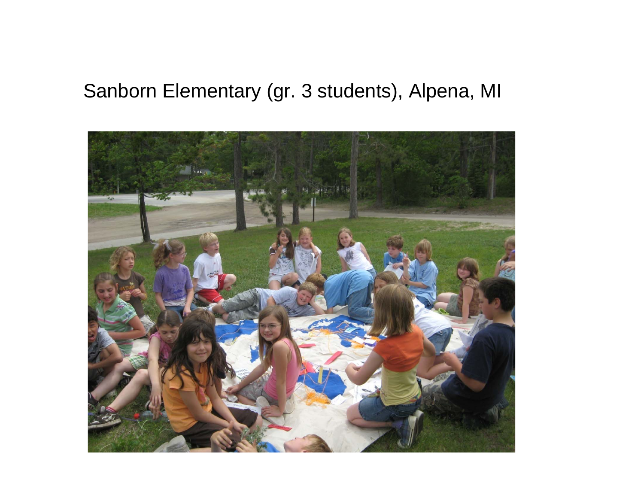## Sanborn Elementary (gr. 3 students), Alpena, MI

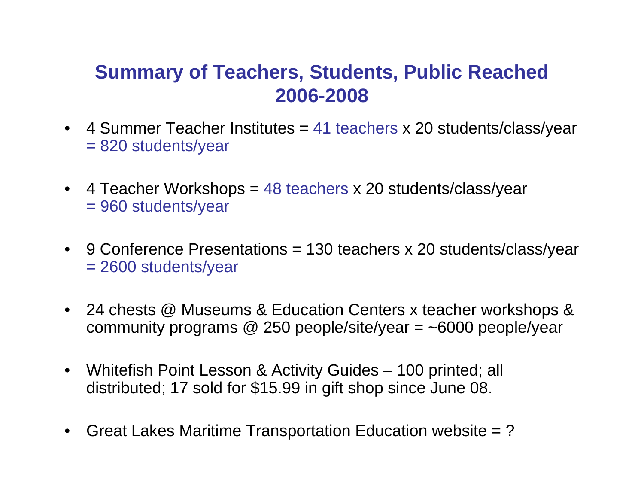# **Summary of Teachers, Students, Public Reached 2006-2008**

- 4 Summer Teacher Institutes = 41 teachers x 20 students/class/year = 820 students/yea r
- • 4 Teacher Workshops = 48 teachers x 20 students/class/year = 960 students/year
- 9 Conference Presentations = 130 teachers x 20 students/class/year = 2600 students/year
- 24 chests @ Museums & Education Centers x teacher workshops & community programs @ 250 people/site/year = ~6000 people/year
- Whitefish Point Lesson & Activity Guides 100 printed; all distributed; 17 sold for \$15.99 in gift shop since June 08.
- $\bullet$ Great Lakes Maritime Transportation Education website = ?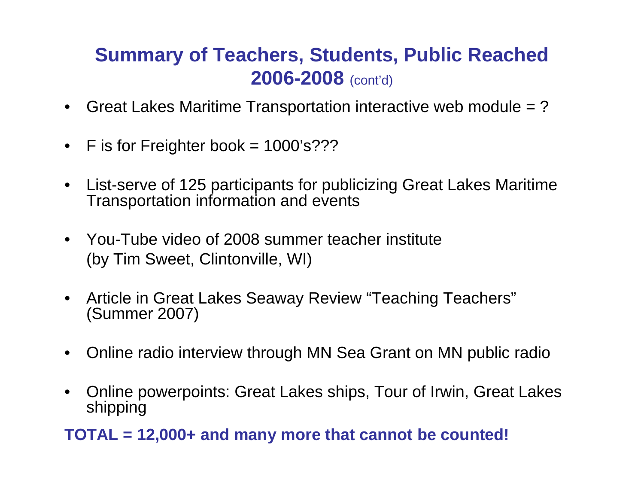# **Summary of Teachers, Students, Public Reached 2006-2008** (cont'd)

- $\bullet$ Great Lakes Maritime Transportation interactive web module = ?
- $\bullet$ F is for Frei ghter book = 1000's???
- $\bullet$  List-serve of 125 participants for publicizing Great Lakes Maritime Transportation information and events
- You-Tube video of 2008 summer teacher institute (by Tim Sweet, Clintonville, WI)
- $\bullet$  Article in Great Lakes Seaway Review "Teaching Teachers" (Summer 2007)
- $\bullet$ Online radio interview through MN Sea Grant on MN public radio
- $\bullet$  Online powerpoints: Great Lakes ships, Tour of Irwin, Great Lakes shipping

**TOTAL = 12,000+ and many more that cannot be counted!**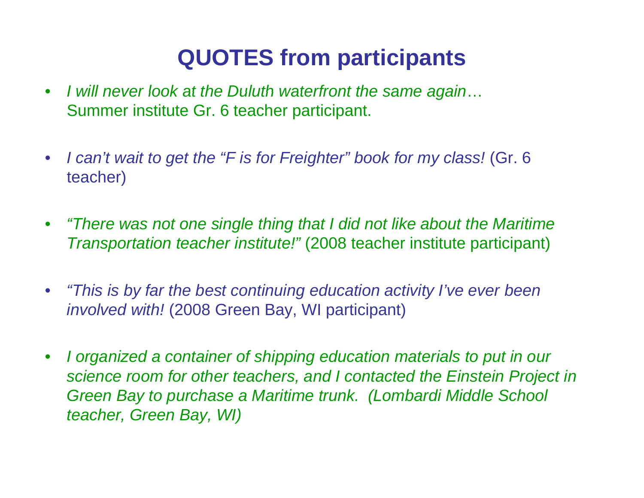# **QUOTES from participants**

- $\bullet$ I will never look at the Duluth waterfront the same again... Summer institute Gr. 6 teacher participant.
- $\bullet$ • I can't wait to get the "F is for Freighter" book for my class! (Gr. 6 teacher)
- $\bullet$  *"There was not one single thing that I did not like about the Maritime Transportation teacher institute!"* (2008 teacher institute participant)
- $\bullet$  *"This is by far the best continuing education activity I've ever been involved with!* (2008 Green Bay, WI participant)
- $\bullet$  *I organized a container of shipping education materials to put in our science room for other teachers, and I contacted the Einstein Project in Green Bay to purchase a Maritime trunk. (Lombardi Middle School teacher, Green Bay, WI)*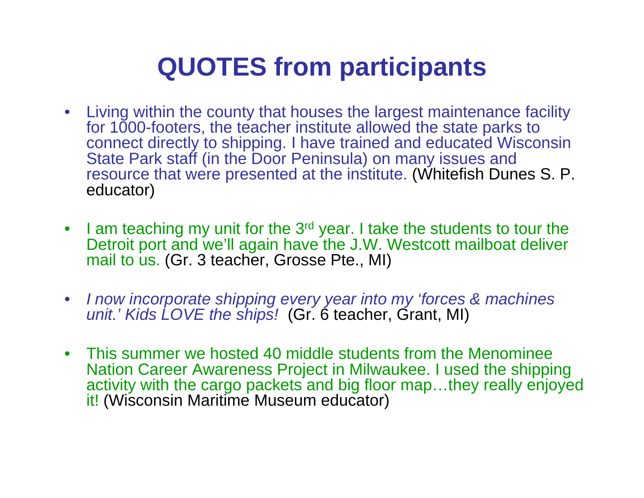# **QUOTES from participants**

- Living within the county that houses the largest maintenance facility for 1000-footers, the teacher institute allowed the state parks to connect directly to shipping. I have trained and educated Wisconsin State Park staff (in the Door Peninsula) on many issues and resource that were presented at the institute. (Whitefish Dunes S. P. educator)
- I am teaching my unit for the 3<sup>rd</sup> year. I take the students to tour the Detroit port and we'll again have the J.W. Westcott mailboat deliver mail to us. (Gr. 3 teacher, Grosse Pte., MI)
- $\bullet$  *I now incorporate shipping every year into my 'forces & machines unit.' Kids LOVE the ships!* (Gr. 6 teacher, Grant, MI)
- This summer we hosted 40 middle students from the Menominee Nation Career Awareness Project in Milwaukee. I used the shipping activity with the cargo packets and big floor map...they really enjoyed it! (Wisconsin Maritime Museum educator)